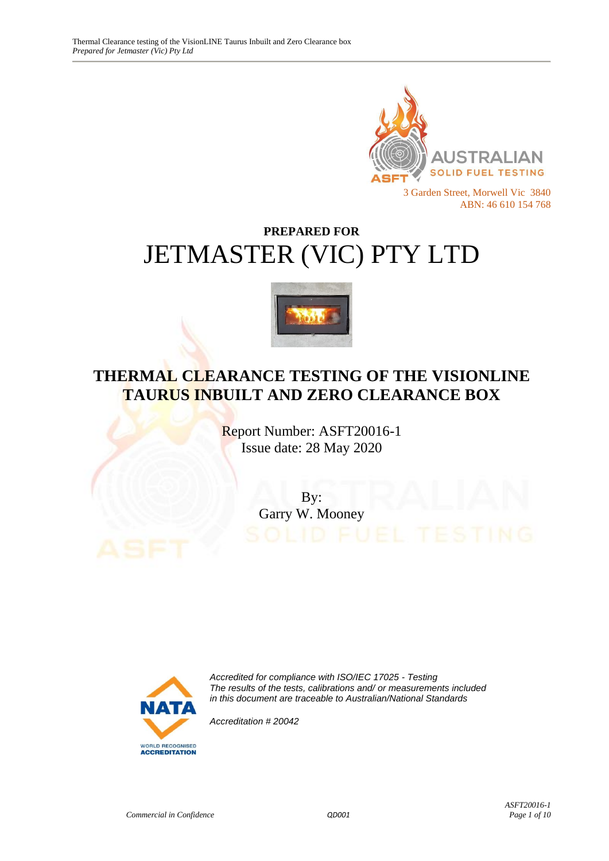

# **PREPARED FOR** JETMASTER (VIC) PTY LTD



# **THERMAL CLEARANCE TESTING OF THE VISIONLINE TAURUS INBUILT AND ZERO CLEARANCE BOX**

Report Number: ASFT20016-1 Issue date: 28 May 2020

> By: Garry W. Mooney



*Accredited for compliance with ISO/IEC 17025 - Testing The results of the tests, calibrations and/ or measurements included in this document are traceable to Australian/National Standards*

*Accreditation # 20042*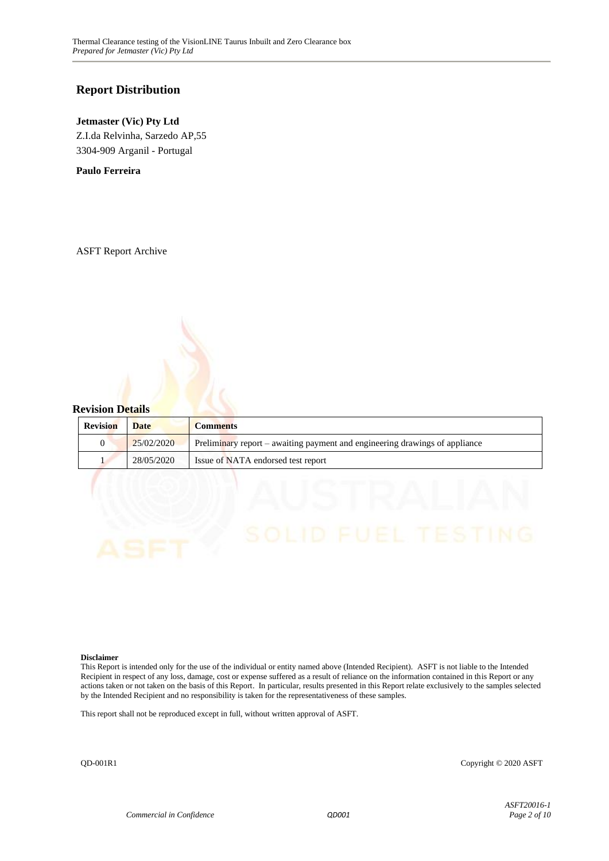#### **Report Distribution**

#### **Jetmaster (Vic) Pty Ltd**

Z.I.da Relvinha, Sarzedo AP,55 3304-909 Arganil - Portugal

**Paulo Ferreira**

ASFT Report Archive

#### **Revision Details**

| <b>Revision</b> | <b>Date</b> | <b>Comments</b>                                                             |
|-----------------|-------------|-----------------------------------------------------------------------------|
|                 | 25/02/2020  | Preliminary report – awaiting payment and engineering drawings of appliance |
|                 | 28/05/2020  | Issue of NATA endorsed test report                                          |

#### **Disclaimer**

This Report is intended only for the use of the individual or entity named above (Intended Recipient). ASFT is not liable to the Intended Recipient in respect of any loss, damage, cost or expense suffered as a result of reliance on the information contained in this Report or any actions taken or not taken on the basis of this Report. In particular, results presented in this Report relate exclusively to the samples selected by the Intended Recipient and no responsibility is taken for the representativeness of these samples.

This report shall not be reproduced except in full, without written approval of ASFT.

QD-001R1 Copyright © 2020 ASFT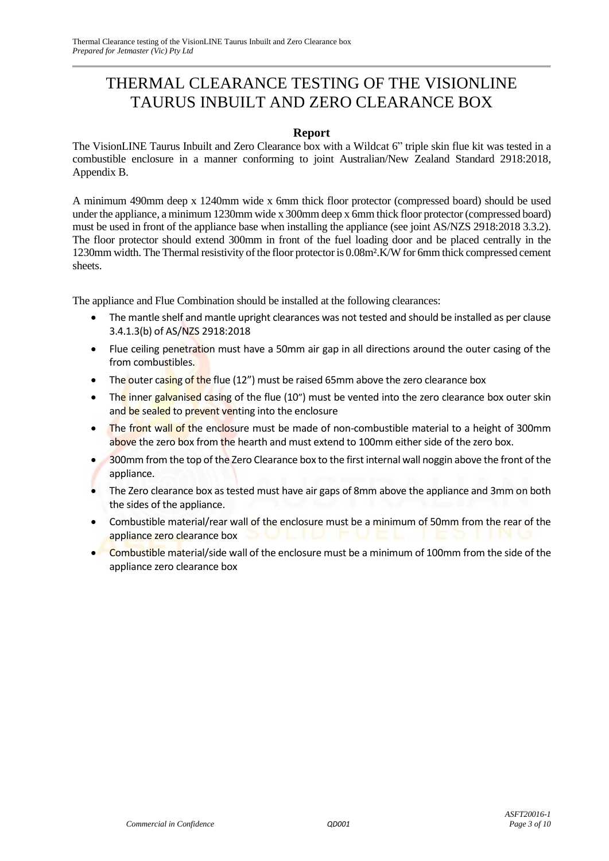# THERMAL CLEARANCE TESTING OF THE VISIONLINE TAURUS INBUILT AND ZERO CLEARANCE BOX

#### **Report**

The VisionLINE Taurus Inbuilt and Zero Clearance box with a Wildcat 6" triple skin flue kit was tested in a combustible enclosure in a manner conforming to joint Australian/New Zealand Standard 2918:2018, Appendix B.

A minimum 490mm deep x 1240mm wide x 6mm thick floor protector (compressed board) should be used under the appliance, a minimum 1230mm wide x 300mm deep x 6mm thick floor protector (compressed board) must be used in front of the appliance base when installing the appliance (see joint AS/NZS 2918:2018 3.3.2). The floor protector should extend 300mm in front of the fuel loading door and be placed centrally in the 1230mm width. The Thermal resistivity of the floor protector is 0.08m².K/W for 6mm thick compressed cement sheets.

The appliance and Flue Combination should be installed at the following clearances:

- The mantle shelf and mantle upright clearances was not tested and should be installed as per clause 3.4.1.3(b) of AS/NZS 2918:2018
- Flue ceiling penetration must have a 50mm air gap in all directions around the outer casing of the from combustibles.
- The outer casing of the flue (12") must be raised 65mm above the zero clearance box
- The inner galvanised casing of the flue (10") must be vented into the zero clearance box outer skin and be sealed to prevent venting into the enclosure
- The front wall of the enclosure must be made of non-combustible material to a height of 300mm above the zero box from the hearth and must extend to 100mm either side of the zero box.
- 300mm from the top of the Zero Clearance box to the first internal wall noggin above the front of the appliance.
- The Zero clearance box as tested must have air gaps of 8mm above the appliance and 3mm on both the sides of the appliance.
- Combustible material/rear wall of the enclosure must be a minimum of 50mm from the rear of the appliance zero clearance box
- Combustible material/side wall of the enclosure must be a minimum of 100mm from the side of the appliance zero clearance box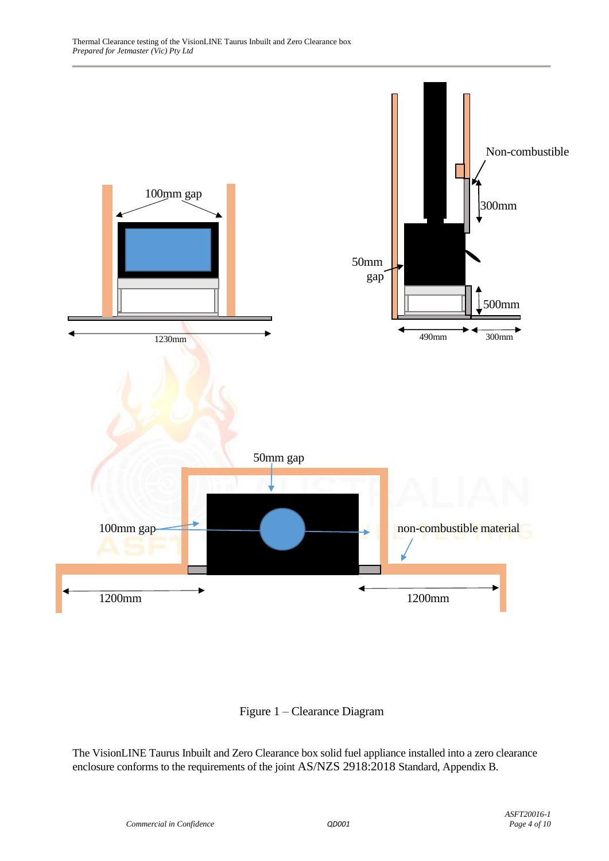



The VisionLINE Taurus Inbuilt and Zero Clearance box solid fuel appliance installed into a zero clearance enclosure conforms to the requirements of the joint AS/NZS 2918:2018 Standard, Appendix B.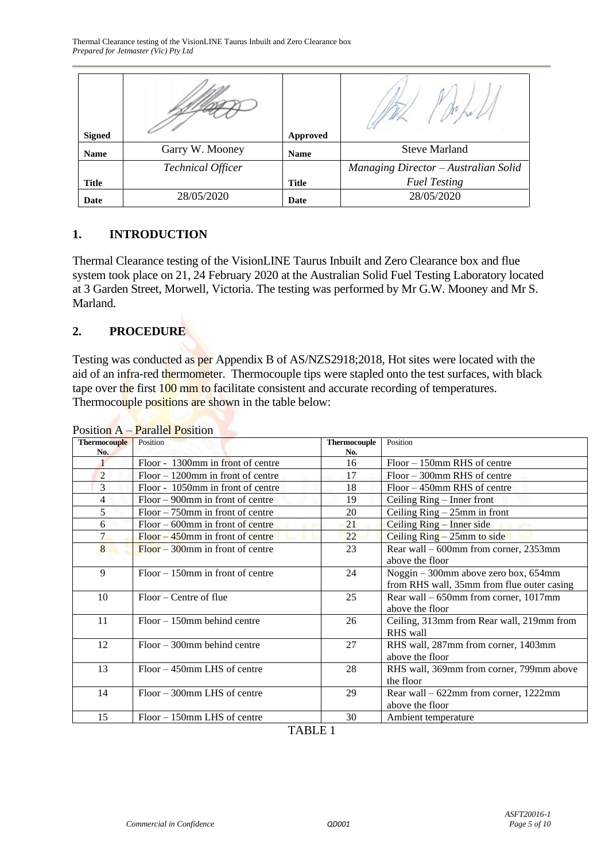| <b>Signed</b> |                          | Approved     |                                      |
|---------------|--------------------------|--------------|--------------------------------------|
| <b>Name</b>   | Garry W. Mooney          | <b>Name</b>  | <b>Steve Marland</b>                 |
|               | <b>Technical Officer</b> |              | Managing Director - Australian Solid |
| <b>Title</b>  |                          | <b>Title</b> | <b>Fuel Testing</b>                  |
| Date          | 28/05/2020               | Date         | 28/05/2020                           |

#### **1. INTRODUCTION**

Thermal Clearance testing of the VisionLINE Taurus Inbuilt and Zero Clearance box and flue system took place on 21, 24 February 2020 at the Australian Solid Fuel Testing Laboratory located at 3 Garden Street, Morwell, Victoria. The testing was performed by Mr G.W. Mooney and Mr S. Marland.

## **2. PROCEDURE**

Testing was conducted as per Appendix B of AS/NZS2918;2018, Hot sites were located with the aid of an infra-red thermometer. Thermocouple tips were stapled onto the test surfaces, with black tape over the first 100 mm to facilitate consistent and accurate recording of temperatures. Thermocouple positions are shown in the table below:

|                     | I OSIUOIL $A = I$ alahel I Osiuoil   |                     |                                            |
|---------------------|--------------------------------------|---------------------|--------------------------------------------|
| <b>Thermocouple</b> | Position                             | <b>Thermocouple</b> | Position                                   |
| No.                 |                                      | No.                 |                                            |
|                     | Floor - 1300mm in front of centre    | 16                  | $Floor - 150$ mm RHS of centre             |
| 2                   | $Floor - 1200$ mm in front of centre | 17                  | $Floor - 300$ mm RHS of centre             |
| 3                   | Floor - 1050mm in front of centre    | 18                  | $Floor - 450$ mm RHS of centre             |
| 4                   | $Floor - 900$ mm in front of centre  | 19                  | Ceiling Ring – Inner front                 |
| 5                   | $Floor - 750$ mm in front of centre  | 20                  | Ceiling $Ring - 25mm$ in front             |
| 6                   | $Floor - 600$ mm in front of centre  | 21                  | Ceiling Ring - Inner side                  |
| $\overline{7}$      | $Floor - 450$ mm in front of centre  | 22                  | Ceiling $Ring - 25mm$ to side              |
| 8                   | $Floor - 300$ mm in front of centre  | 23                  | Rear wall – 600mm from corner, 2353mm      |
|                     |                                      |                     | above the floor                            |
| 9                   | $Floor - 150$ mm in front of centre  | 24                  | Noggin - 300mm above zero box, 654mm       |
|                     |                                      |                     | from RHS wall, 35mm from flue outer casing |
| 10                  | Floor – Centre of flue               | 25                  | Rear wall – 650mm from corner, 1017mm      |
|                     |                                      |                     | above the floor                            |
| 11                  | $Floor - 150$ mm behind centre       | 26                  | Ceiling, 313mm from Rear wall, 219mm from  |
|                     |                                      |                     | RHS wall                                   |
| 12                  | $Floor - 300$ mm behind centre       | 27                  | RHS wall, 287mm from corner, 1403mm        |
|                     |                                      |                     | above the floor                            |
| 13                  | $Floor - 450$ mm LHS of centre       | 28                  | RHS wall, 369mm from corner, 799mm above   |
|                     |                                      |                     | the floor                                  |
| 14                  | Floor – 300mm LHS of centre          | 29                  | Rear wall – 622mm from corner, 1222mm      |
|                     |                                      |                     | above the floor                            |
| 15                  | Floor – 150mm LHS of centre          | 30                  | Ambient temperature                        |



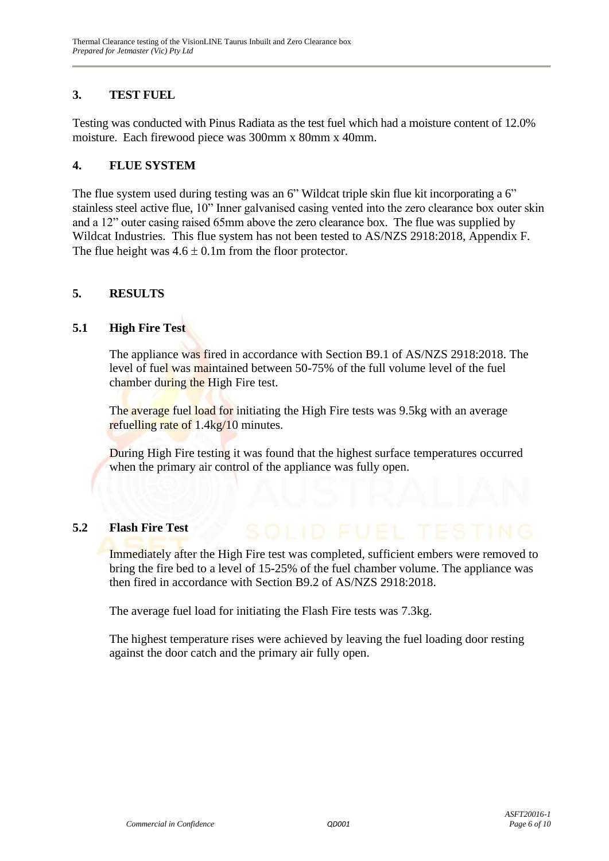#### **3. TEST FUEL**

Testing was conducted with Pinus Radiata as the test fuel which had a moisture content of 12.0% moisture. Each firewood piece was 300mm x 80mm x 40mm.

#### **4. FLUE SYSTEM**

The flue system used during testing was an 6" Wildcat triple skin flue kit incorporating a 6" stainless steel active flue, 10" Inner galvanised casing vented into the zero clearance box outer skin and a 12" outer casing raised 65mm above the zero clearance box. The flue was supplied by Wildcat Industries. This flue system has not been tested to AS/NZS 2918:2018, Appendix F. The flue height was  $4.6 \pm 0.1$ m from the floor protector.

#### **5. RESULTS**

#### **5.1 High Fire Test**

The appliance was fired in accordance with Section B9.1 of AS/NZS 2918:2018. The level of fuel was maintained between 50-75% of the full volume level of the fuel chamber during the High Fire test.

The average fuel load for initiating the High Fire tests was 9.5kg with an average refuelling rate of 1.4kg/10 minutes.

During High Fire testing it was found that the highest surface temperatures occurred when the primary air control of the appliance was fully open.

#### **5.2 Flash Fire Test**

Immediately after the High Fire test was completed, sufficient embers were removed to bring the fire bed to a level of 15-25% of the fuel chamber volume. The appliance was then fired in accordance with Section B9.2 of AS/NZS 2918:2018.

The average fuel load for initiating the Flash Fire tests was 7.3kg.

The highest temperature rises were achieved by leaving the fuel loading door resting against the door catch and the primary air fully open.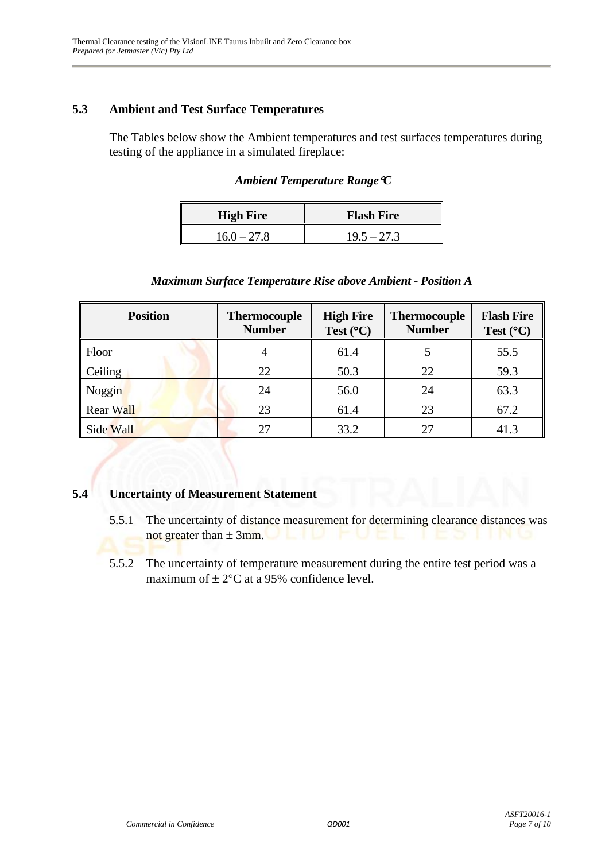#### **5.3 Ambient and Test Surface Temperatures**

The Tables below show the Ambient temperatures and test surfaces temperatures during testing of the appliance in a simulated fireplace:

|  | Ambient Temperature Range $\mathfrak C$ |  |  |
|--|-----------------------------------------|--|--|
|--|-----------------------------------------|--|--|

| <b>High Fire</b> | <b>Flash Fire</b> |  |
|------------------|-------------------|--|
| $16.0 - 27.8$    | $19.5 - 27.3$     |  |

#### *Maximum Surface Temperature Rise above Ambient - Position A*

| <b>Position</b>  | <b>Thermocouple</b><br><b>Number</b> | <b>High Fire</b><br>Test $(^{\circ}C)$ | <b>Thermocouple</b><br><b>Number</b> | <b>Flash Fire</b><br>Test $(^{\circ}C)$ |
|------------------|--------------------------------------|----------------------------------------|--------------------------------------|-----------------------------------------|
| Floor            |                                      | 61.4                                   |                                      | 55.5                                    |
| Ceiling          | 22                                   | 50.3                                   | 22                                   | 59.3                                    |
| Noggin           | 24                                   | 56.0                                   | 24                                   | 63.3                                    |
| <b>Rear Wall</b> | 23                                   | 61.4                                   | 23                                   | 67.2                                    |
| Side Wall        | 27                                   | 33.2                                   | 27                                   | 41.3                                    |

## **5.4 Uncertainty of Measurement Statement**

- 5.5.1 The uncertainty of distance measurement for determining clearance distances was not greater than  $\pm 3$ mm.
- 5.5.2 The uncertainty of temperature measurement during the entire test period was a maximum of  $\pm 2$ °C at a 95% confidence level.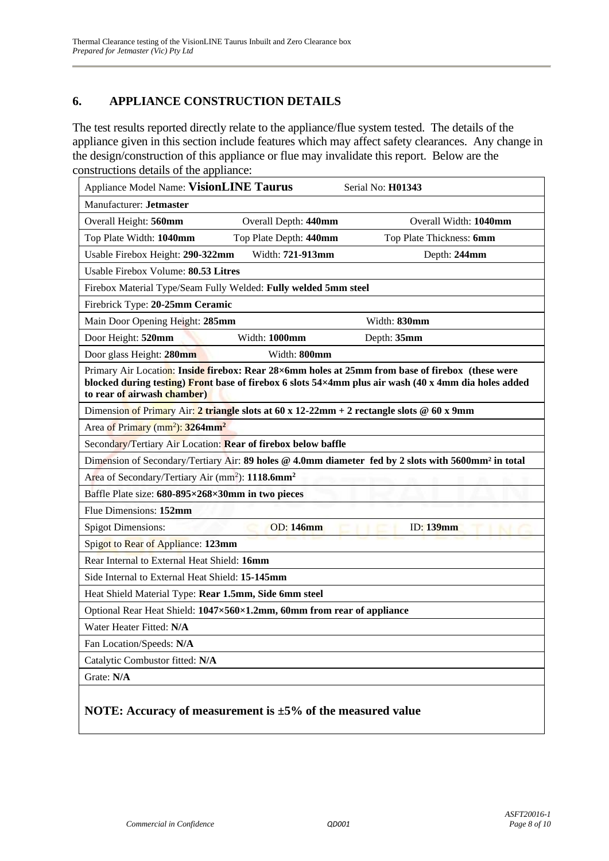## **6. APPLIANCE CONSTRUCTION DETAILS**

The test results reported directly relate to the appliance/flue system tested. The details of the appliance given in this section include features which may affect safety clearances. Any change in the design/construction of this appliance or flue may invalidate this report. Below are the constructions details of the appliance:

| Appliance Model Name: VisionLINE Taurus                                                                                                                                                                                                 | Serial No: H01343        |  |  |
|-----------------------------------------------------------------------------------------------------------------------------------------------------------------------------------------------------------------------------------------|--------------------------|--|--|
| Manufacturer: Jetmaster                                                                                                                                                                                                                 |                          |  |  |
| Overall Depth: 440mm<br>Overall Height: 560mm                                                                                                                                                                                           | Overall Width: 1040mm    |  |  |
| Top Plate Depth: 440mm<br>Top Plate Width: 1040mm                                                                                                                                                                                       | Top Plate Thickness: 6mm |  |  |
| Width: 721-913mm<br>Usable Firebox Height: 290-322mm                                                                                                                                                                                    | Depth: 244mm             |  |  |
| Usable Firebox Volume: 80.53 Litres                                                                                                                                                                                                     |                          |  |  |
| Firebox Material Type/Seam Fully Welded: Fully welded 5mm steel                                                                                                                                                                         |                          |  |  |
| Firebrick Type: 20-25mm Ceramic                                                                                                                                                                                                         |                          |  |  |
| Main Door Opening Height: 285mm                                                                                                                                                                                                         | Width: 830mm             |  |  |
| Door Height: 520mm<br>Width: 1000mm                                                                                                                                                                                                     | Depth: 35mm              |  |  |
| Door glass Height: 280mm<br>Width: 800mm                                                                                                                                                                                                |                          |  |  |
| Primary Air Location: Inside firebox: Rear 28×6mm holes at 25mm from base of firebox (these were<br>blocked during testing) Front base of firebox 6 slots 54×4mm plus air wash (40 x 4mm dia holes added<br>to rear of airwash chamber) |                          |  |  |
| Dimension of Primary Air: 2 triangle slots at 60 x 12-22mm + 2 rectangle slots $@$ 60 x 9mm                                                                                                                                             |                          |  |  |
| Area of Primary (mm <sup>2</sup> ): 3264mm <sup>2</sup>                                                                                                                                                                                 |                          |  |  |
| Secondary/Tertiary Air Location: Rear of firebox below baffle                                                                                                                                                                           |                          |  |  |
| Dimension of Secondary/Tertiary Air: 89 holes @ 4.0mm diameter fed by 2 slots with 5600mm <sup>2</sup> in total                                                                                                                         |                          |  |  |
| Area of Secondary/Tertiary Air (mm <sup>2</sup> ): 1118.6mm <sup>2</sup>                                                                                                                                                                |                          |  |  |
| Baffle Plate size: 680-895×268×30mm in two pieces                                                                                                                                                                                       |                          |  |  |
| Flue Dimensions: 152mm                                                                                                                                                                                                                  |                          |  |  |
| <b>OD: 146mm</b><br><b>Spigot Dimensions:</b>                                                                                                                                                                                           | <b>ID:</b> 139mm         |  |  |
| Spigot to Rear of Appliance: 123mm                                                                                                                                                                                                      |                          |  |  |
| Rear Internal to External Heat Shield: 16mm                                                                                                                                                                                             |                          |  |  |
| Side Internal to External Heat Shield: 15-145mm                                                                                                                                                                                         |                          |  |  |
| Heat Shield Material Type: Rear 1.5mm, Side 6mm steel                                                                                                                                                                                   |                          |  |  |
| Optional Rear Heat Shield: 1047×560×1.2mm, 60mm from rear of appliance                                                                                                                                                                  |                          |  |  |
| Water Heater Fitted: N/A                                                                                                                                                                                                                |                          |  |  |
| Fan Location/Speeds: N/A                                                                                                                                                                                                                |                          |  |  |
| Catalytic Combustor fitted: N/A                                                                                                                                                                                                         |                          |  |  |
| Grate: N/A                                                                                                                                                                                                                              |                          |  |  |
| NOTE: Accuracy of measurement is $\pm 5\%$ of the measured value                                                                                                                                                                        |                          |  |  |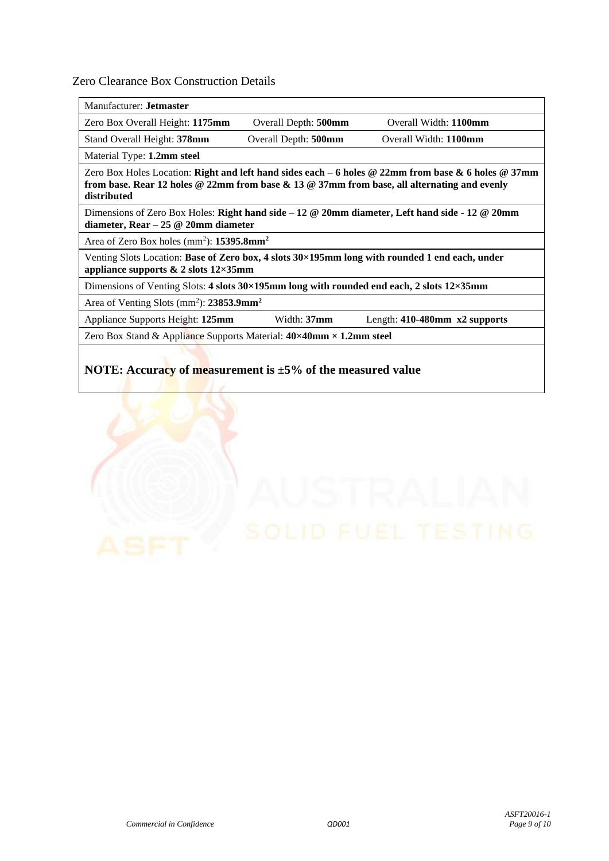Zero Clearance Box Construction Details

Manufacturer: **Jetmaster** 

Zero Box Overall Height: **1175mm** Overall Depth: **500mm** Overall Width: **1100mm**  Stand Overall Height: **378mm** Overall Depth: **500mm** Overall Width: **1100mm** 

Material Type: **1.2mm steel**

Zero Box Holes Location: **Right and left hand sides each – 6 holes @ 22mm from base & 6 holes @ 37mm from base. Rear 12 holes @ 22mm from base & 13 @ 37mm from base, all alternating and evenly distributed**

Dimensions of Zero Box Holes: **Right hand side – 12 @ 20mm diameter, Left hand side - 12 @ 20mm diameter, Rear – 25 @ 20mm diameter**

Area of Zero Box holes (mm<sup>2</sup>): **15395.8mm<sup>2</sup>** 

Venting Slots Location: **Base of Zero box, 4 slots 30×195mm long with rounded 1 end each, under appliance supports & 2 slots 12×35mm**

Dimensions of Venting Slots: **4 slots 30×195mm long with rounded end each, 2 slots 12×35mm**

Area of Venting Slots (mm<sup>2</sup> ): **23853.9mm<sup>2</sup>**

Appliance Supports Height: **125mm** Width: **37mm** Length: **410-480mm x2 supports**

Zero Box Stand & Appliance Supports Material: **40×40mm × 1.2mm steel**

#### **NOTE: Accuracy of measurement is ±5% of the measured value**